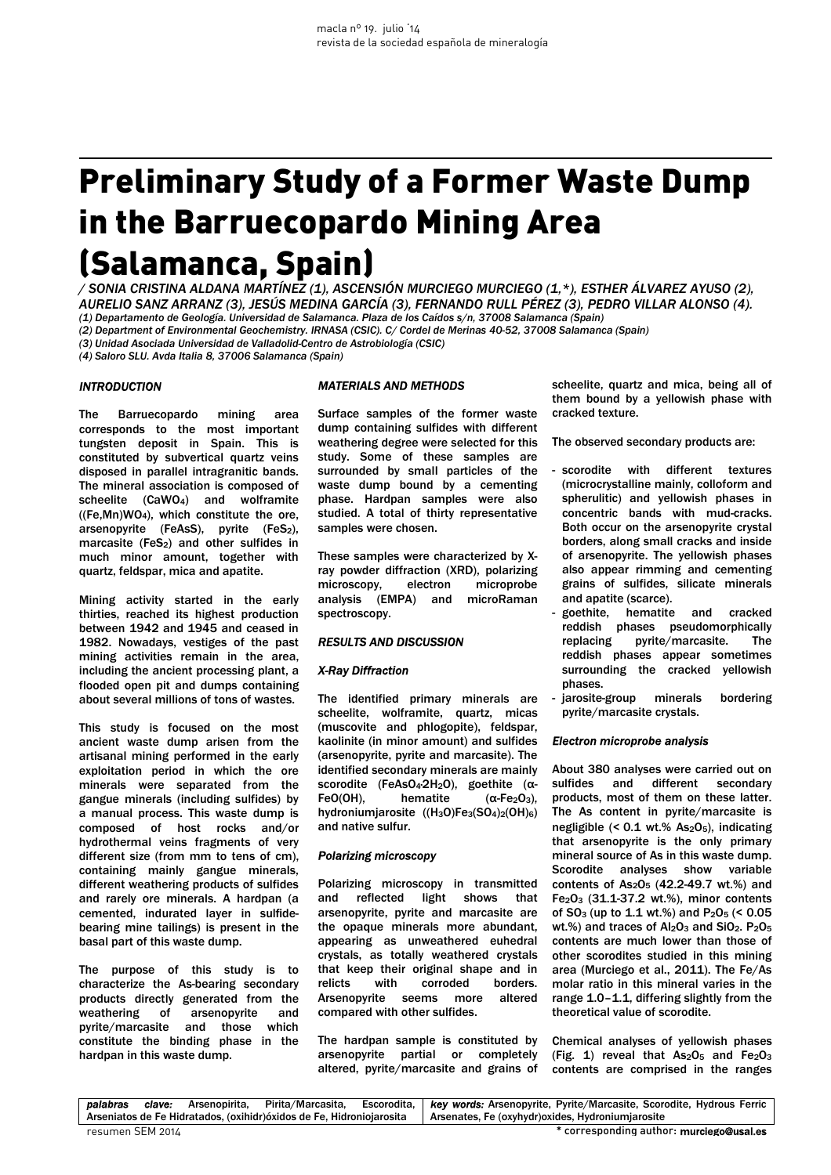# Preliminary Study of a Former Waste Dump in the Barruecopardo Mining Area (Salamanca, Spain)

*/ SONIA CRISTINA ALDANA MARTÍNEZ (1), ASCENSIÓN MURCIEGO MURCIEGO (1,\*), ESTHER ÁLVAREZ AYUSO (2), AURELIO SANZ ARRANZ (3), JESÚS MEDINA GARCÍA (3), FERNANDO RULL PÉREZ (3), PEDRO VILLAR ALONSO (4). (1) Departamento de Geología. Universidad de Salamanca. Plaza de los Caídos s/n, 37008 Salamanca (Spain)*

*(2) Department of Environmental Geochemistry. IRNASA (CSIC). C/ Cordel de Merinas 40-52, 37008 Salamanca (Spain)* 

*(3) Unidad Asociada Universidad de Valladolid-Centro de Astrobiología (CSIC)* 

*(4) Saloro SLU. Avda Italia 8, 37006 Salamanca (Spain)*

## *INTRODUCTION*

The Barruecopardo mining area corresponds to the most important tungsten deposit in Spain. This is constituted by subvertical quartz veins disposed in parallel intragranitic bands. The mineral association is composed of scheelite (CaWO4) and wolframite ((Fe,Mn)WO4), which constitute the ore, arsenopyrite (FeAsS), pyrite (FeS2), marcasite (FeS<sub>2</sub>) and other sulfides in much minor amount, together with quartz, feldspar, mica and apatite.

Mining activity started in the early thirties, reached its highest production between 1942 and 1945 and ceased in 1982. Nowadays, vestiges of the past mining activities remain in the area, including the ancient processing plant, a flooded open pit and dumps containing about several millions of tons of wastes.

This study is focused on the most ancient waste dump arisen from the artisanal mining performed in the early exploitation period in which the ore minerals were separated from the gangue minerals (including sulfides) by a manual process. This waste dump is composed of host rocks and/or hydrothermal veins fragments of very different size (from mm to tens of cm), containing mainly gangue minerals, different weathering products of sulfides and rarely ore minerals. A hardpan (a cemented, indurated layer in sulfidebearing mine tailings) is present in the basal part of this waste dump.

The purpose of this study is to characterize the As-bearing secondary products directly generated from the weathering of arsenopyrite and pyrite/marcasite and those which constitute the binding phase in the hardpan in this waste dump.

#### *MATERIALS AND METHODS*

Surface samples of the former waste dump containing sulfides with different weathering degree were selected for this study. Some of these samples are surrounded by small particles of the waste dump bound by a cementing phase. Hardpan samples were also studied. A total of thirty representative samples were chosen.

These samples were characterized by Xray powder diffraction (XRD), polarizing microscopy, electron microprobe analysis (EMPA) and microRaman spectroscopy.

#### *RESULTS AND DISCUSSION*

#### *X-Ray Diffraction*

The identified primary minerals are scheelite, wolframite, quartz, micas (muscovite and phlogopite), feldspar, kaolinite (in minor amount) and sulfides (arsenopyrite, pyrite and marcasite). The identified secondary minerals are mainly scorodite (FeAsO<sub>4</sub>·2H<sub>2</sub>O), goethite (α-FeO(OH), hematite  $(α-Fe<sub>2</sub>O<sub>3</sub>)$ , hydroniumjarosite ((H<sub>3</sub>O)Fe<sub>3</sub>(SO<sub>4</sub>)<sub>2</sub>(OH)<sub>6</sub>) and native sulfur.

### *Polarizing microscopy*

Polarizing microscopy in transmitted and reflected light shows that arsenopyrite, pyrite and marcasite are the opaque minerals more abundant, appearing as unweathered euhedral crystals, as totally weathered crystals that keep their original shape and in relicts with corroded borders. Arsenopyrite seems more altered compared with other sulfides.

The hardpan sample is constituted by arsenopyrite partial or completely altered, pyrite/marcasite and grains of scheelite, quartz and mica, being all of them bound by a yellowish phase with cracked texture.

The observed secondary products are:

- scorodite with different textures (microcrystalline mainly, colloform and spherulitic) and yellowish phases in concentric bands with mud-cracks. Both occur on the arsenopyrite crystal borders, along small cracks and inside of arsenopyrite. The yellowish phases also appear rimming and cementing grains of sulfides, silicate minerals and apatite (scarce).
- goethite, hematite and cracked reddish phases pseudomorphically replacing pyrite/marcasite. The reddish phases appear sometimes surrounding the cracked yellowish phases.
- jarosite-group minerals bordering pyrite/marcasite crystals.

#### *Electron microprobe analysis*

About 380 analyses were carried out on sulfides and different secondary products, most of them on these latter. The As content in pyrite/marcasite is negligible  $(5.01 \text{ wt.})\%$  As<sub>2</sub>O<sub>5</sub>), indicating that arsenopyrite is the only primary mineral source of As in this waste dump. Scorodite analyses show variable contents of  $As<sub>2</sub>O<sub>5</sub>$  (42.2-49.7 wt.%) and  $Fe<sub>2</sub>O<sub>3</sub>$  (31.1-37.2 wt.%), minor contents of  $SO_3$  (up to 1.1 wt.%) and  $P_2O_5$  (< 0.05 wt.%) and traces of  $Al_2O_3$  and  $SiO_2$ .  $P_2O_5$ contents are much lower than those of other scorodites studied in this mining area (Murciego et al., 2011). The Fe/As molar ratio in this mineral varies in the range 1.0–1.1, differing slightly from the theoretical value of scorodite.

Chemical analyses of yellowish phases (Fig. 1) reveal that  $As<sub>2</sub>O<sub>5</sub>$  and  $Fe<sub>2</sub>O<sub>3</sub>$ contents are comprised in the ranges

*palabras clave:* Arsenopirita, Pirita/Marcasita, Escorodita, Arseniatos de Fe Hidratados, (oxihidr)óxidos de Fe, Hidroniojarosita *key words:* Arsenopyrite, Pyrite/Marcasite, Scorodite, Hydrous Ferric Arsenates, Fe (oxyhydr)oxides, Hydroniumjarosite resumen SEM 2014 \* corresponding author: murciego@usal.es